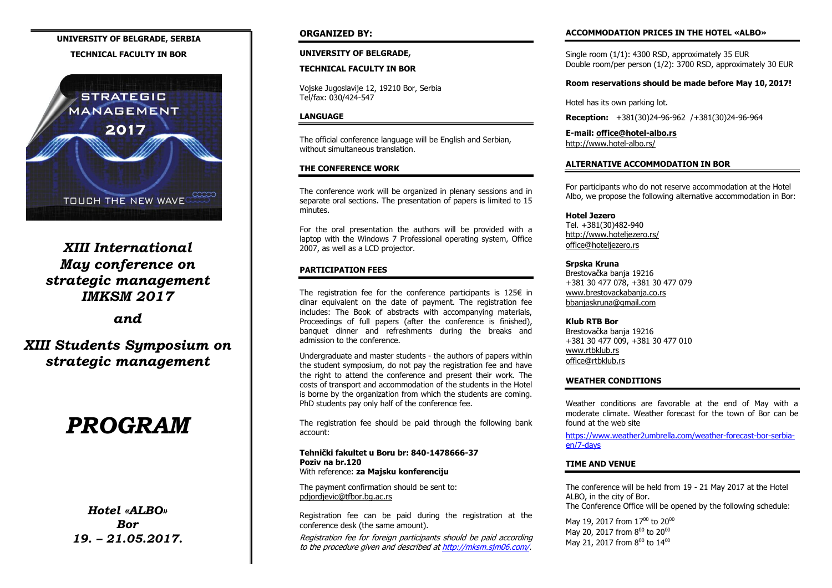## **UNIVERSITY OF BELGRADE, SERBIA**

#### **TECHNICAL FACULTY IN BOR**



*XIII International May conference on strategic management IMKSM 2017*

*and*

*XIII Students Symposium on strategic management*

# *PROGRAM*

*Hotel «ALBO» Bor 19. – 21.05.2017.*

#### **ORGANIZED BY:**

#### **UNIVERSITY OF BELGRADE,**

#### **TECHNICAL FACULTY IN BOR**

Vojske Jugoslavije 12, 19210 Bor, Serbia Tel/fax: 030/424-547

#### **LANGUAGE**

The official conference language will be English and Serbian, without simultaneous translation.

#### **THE CONFERENCE WORK**

The conference work will be organized in plenary sessions and in separate oral sections. The presentation of papers is limited to 15 minutes.

For the oral presentation the authors will be provided with a laptop with the Windows 7 Professional operating system, Office 2007, as well as a LCD projector.

#### **PARTICIPATION FEES**

The registration fee for the conference participants is 125 $\epsilon$  in dinar equivalent on the date of payment. The registration fee includes: The Book of abstracts with accompanying materials, Proceedings of full papers (after the conference is finished), banquet dinner and refreshments during the breaks and admission to the conference.

Undergraduate and master students - the authors of papers within the student symposium, do not pay the registration fee and have the right to attend the conference and present their work. The costs of transport and accommodation of the students in the Hotel is borne by the organization from which the students are coming. PhD students pay only half of the conference fee.

The registration fee should be paid through the following bank account:

#### **Tehnički fakultet u Boru br: 840-1478666-37 Poziv na br.120** With reference: **za Majsku konferenciju**

The payment confirmation should be sent to: pdjordjevic@tfbor.bg.ac.rs

Registration fee can be paid during the registration at the conference desk (the same amount).

Registration fee for foreign participants should be paid according to the procedure given and described at [http://mksm.sjm06.com/.](http://mksm.sjm06.com/)

#### **ACCOMMODATION PRICES IN THE HOTEL «ALBO»**

Single room (1/1): 4300 RSD, approximately 35 EUR Double room/per person (1/2): 3700 RSD, approximately 30 EUR

#### **Room reservations should be made before May 10, 2017!**

Hotel has its own parking lot.

**Reception:** +381(30)24-96-962 /+381(30)24-96-964

**E-mail[: office@hotel-albo.rs](mailto:office@hotel-albo.rs)** <http://www.hotel-albo.rs/>

#### **ALTERNATIVE ACCOMMODATION IN BOR**

For participants who do not reserve accommodation at the Hotel Albo, we propose the following alternative accommodation in Bor:

#### **Hotel Jezero**

Tel. +381(30)482-940 <http://www.hoteljezero.rs/> [office@hoteljezero.rs](mailto:office@hoteljezero.rs)

#### **Srpska Kruna**

Brestovačka banja 19216 +381 30 477 078, +381 30 477 079 [www.brestovackabanja.co.rs](http://www.brestovackabanja.co.rs/) [bbanjaskruna@gmail.com](mailto:bbanjaskruna@gmail.com)

#### **Klub RTB Bor**

Brestovačka banja 19216 +381 30 477 009, +381 30 477 010 [www.rtbklub.rs](http://www.rtbklub.rs/) [office@rtbklub.rs](mailto:office@rtbklub.rs)

#### **WEATHER CONDITIONS**

Weather conditions are favorable at the end of May with a moderate climate. Weather forecast for the town of Bor can be found at the web site

[https://www.weather2umbrella.com/weather-forecast-bor-serbia](https://www.weather2umbrella.com/weather-forecast-bor-serbia-en/7-days)[en/7-days](https://www.weather2umbrella.com/weather-forecast-bor-serbia-en/7-days)

#### **TIME AND VENUE**

The conference will be held from 19 - 21 May 2017 at the Hotel ALBO, in the city of Bor. The Conference Office will be opened by the following schedule:

May 19, 2017 from  $17^{00}$  to 20 $^{00}$ May 20, 2017 from  $8^{00}$  to 20 $^{00}$ May 21, 2017 from  $8^{00}$  to 14 $^{00}$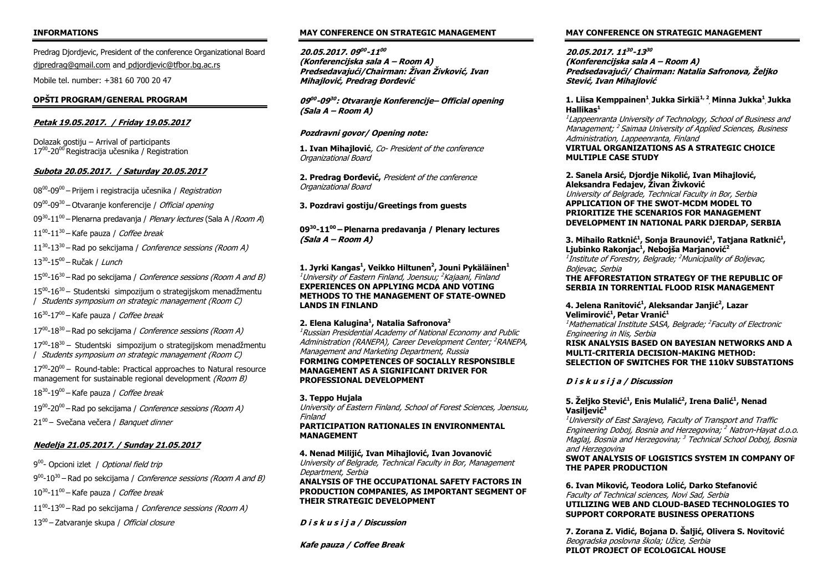#### **INFORMATIONS**

Predrag Djordjevic, President of the conference Organizational Board [djpredrag@gmail.com](mailto:djpredrag@gmail.com) and [pdjordjevic@tfbor.bg.ac.rs](mailto:pdjordjevic@tfbor.bg.ac.rs)

Mobile tel. number: +381 60 700 20 47

#### **OPŠTI PROGRAM/GENERAL PROGRAM**

#### **Petak 19.05.2017. / Friday 19.05.2017**

Dolazak gostiju – Arrival of participants 17<sup>00</sup>-20<sup>00</sup> Registracija učesnika / Registration

#### **Subota 20.05.2017. / Saturday 20.05.2017**

08<sup>00</sup>-09<sup>00</sup> – Prijem i registracija učesnika / *Registration* 

09<sup>00</sup>-09<sup>30</sup> – Otvaranje konferencije / *Official opening* 

09<sup>30</sup>-11<sup>00</sup> – Plenarna predavanja / *Plenary lectures* (Sala A / *Room A*)

 $11^{00}$ - $11^{30}$  – Kafe pauza / *Coffee break* 

11<sup>30</sup>-13<sup>30</sup> – Rad po sekcijama / *Conference sessions (Room A)* 

13<sup>30</sup>-15<sup>00</sup> – Ručak / Lunch

15<sup>00</sup>-16<sup>30</sup> – Rad po sekcijama / *Conference sessions (Room A and B)* 

 $15^{00}$ -16<sup>30</sup> – Studentski simpozijum o strategijskom menadžmentu / Students symposium on strategic management (Room C)

16<sup>30</sup>-17<sup>00</sup> – Kafe pauza / *Coffee break* 

17<sup>00</sup>-18<sup>30</sup> – Rad po sekcijama / Conference sessions (Room A)

 $17<sup>00</sup>$ -18<sup>30</sup> – Studentski simpozijum o strategijskom menadžmentu / Students symposium on strategic management (Room C)

 $17<sup>00</sup>$ -20<sup>00</sup> – Round-table: Practical approaches to Natural resource management for sustainable regional development *(Room B)* 

18<sup>30</sup>-19<sup>00</sup> – Kafe pauza / Coffee break

19<sup>00</sup>-20<sup>00</sup> – Rad po sekcijama / *Conference sessions (Room A)* 

21<sup>00</sup> – Svečana večera / *Banquet dinner* 

#### **Nedelja 21.05.2017. / Sunday 21.05.2017**

9<sup>00</sup>- Opcioni izlet / *Optional field trip* 

9<sup>00</sup>-10<sup>30</sup> – Rad po sekcijama / *Conference sessions (Room A and B)* 

 $10^{30}$ - $11^{00}$  – Kafe pauza / Coffee break

11<sup>00</sup>-13<sup>00</sup> – Rad po sekcijama / *Conference sessions (Room A)* 

13<sup>00</sup> – Zatvaranje skupa / Official closure

#### **MAY CONFERENCE ON STRATEGIC MANAGEMENT**

**20.05.2017. 09 00 -11 00 (Konferencijska sala A – Room A) Predsedavajući/Chairman: Živan Živković, Ivan Mihajlović, Predrag Đorđević**

**09 00 -09 30 : Otvaranje Konferencije– Official opening (Sala A – Room A)**

#### **Pozdravni govor/ Opening note:**

**1. Ivan Mihajlović**, Co- President of the conference Organizational Board

**2. Predrag Đorđević,** President of the conference Organizational Board

**3. Pozdravi gostiju/Greetings from guests**

**09<sup>30</sup> -11 <sup>00</sup>– Plenarna predavanja / Plenary lectures (Sala A – Room A)**

**1. Jyrki Kangas<sup>1</sup> , Veikko Hiltunen<sup>2</sup> , Jouni Pykäläinen<sup>1</sup>** <sup>1</sup>University of Eastern Finland, Joensuu; <sup>2</sup>Kajaani, Finland **EXPERIENCES ON APPLYING MCDA AND VOTING METHODS TO THE MANAGEMENT OF STATE-OWNED LANDS IN FINLAND**

#### **2. Elena Kalugina<sup>1</sup> , Natalia Safronova<sup>2</sup>**

 $1$ Russian Presidential Academy of National Fconomy and Public Administration (RANEPA), Career Development Center; <sup>2</sup>RANEPA, Management and Marketing Department, Russia **FORMING COMPETENCES OF SOCIALLY RESPONSIBLE MANAGEMENT AS A SIGNIFICANT DRIVER FOR PROFESSIONAL DEVELOPMENT**

#### **3. Teppo Hujala**

University of Eastern Finland, School of Forest Sciences, Joensuu, Finland

#### **PARTICIPATION RATIONALES IN ENVIRONMENTAL MANAGEMENT**

**4. Nenad Milijić, Ivan Mihajlović, Ivan Jovanović** University of Belgrade, Technical Faculty in Bor, Management Department, Serbia

**ANALYSIS OF THE OCCUPATIONAL SAFETY FACTORS IN PRODUCTION COMPANIES, AS IMPORTANT SEGMENT OF THEIR STRATEGIC DEVELOPMENT**

**D i s k u s i j a / Discussion**

**Kafe pauza / Coffee Break**

#### **MAY CONFERENCE ON STRATEGIC MANAGEMENT**

**20.05.2017. 11 30 -13 30 (Konferencijska sala A – Room A) Predsedavajući/ Chairman: Natalia Safronova, Željko Stević, Ivan Mihajlović**

#### **1. Liisa Kemppainen<sup>1</sup>** , **Jukka Sirkiä1, 2** , **Minna Jukka<sup>1</sup>** , **Jukka Hallikas<sup>1</sup>**

1 Lappeenranta University of Technology, School of Business and Management; <sup>2</sup> Saimaa University of Applied Sciences, Business Administration, Lappeenranta, Finland **VIRTUAL ORGANIZATIONS AS A STRATEGIC CHOICE** 

**MULTIPLE CASE STUDY**

**2. Sanela Arsić, Djordje Nikolić, Ivan Mihajlović, Aleksandra Fedajev, Živan Živković**

University of Belgrade, Technical Faculty in Bor, Serbia **APPLICATION OF THE SWOT-MCDM MODEL TO PRIORITIZE THE SCENARIOS FOR MANAGEMENT DEVELOPMENT IN NATIONAL PARK DJERDAP, SERBIA**

3. Mihailo Ratknić<sup>1</sup>, Sonja Braunović<sup>1</sup>, Tatjana Ratknić<sup>1</sup>, **Ljubinko Rakonjac<sup>1</sup> , Nebojša Marjanović<sup>2</sup>** <sup>1</sup>Institute of Forestry, Belgrade; <sup>2</sup>Municipality of Boljevac, Boljevac, Serbia

#### **THE AFFORESTATION STRATEGY OF THE REPUBLIC OF SERBIA IN TORRENTIAL FLOOD RISK MANAGEMENT**

#### **4. Jelena Ranitović<sup>1</sup> , Aleksandar Janjić<sup>2</sup> , Lazar Velimirović<sup>1</sup> , Petar Vranić<sup>1</sup>**

<sup>1</sup>Mathematical Institute SASA, Belgrade; <sup>2</sup>Faculty of Electronic Engineering in Nis, Serbia

**RISK ANALYSIS BASED ON BAYESIAN NETWORKS AND A MULTI-CRITERIA DECISION-MAKING METHOD: SELECTION OF SWITCHES FOR THE 110kV SUBSTATIONS**

**D i s k u s i j a / Discussion**

#### **5. Željko Stević<sup>1</sup> , Enis Mulalić<sup>2</sup> , Irena Đalić<sup>1</sup> , Nenad Vasiljević<sup>3</sup>**

<sup>1</sup>University of East Sarajevo, Faculty of Transport and Traffic Engineering Doboj, Bosnia and Herzegovina; <sup>2</sup> Natron-Hayat d.o.o. Maglaj, Bosnia and Herzegovina; <sup>3</sup> Technical School Doboj, Bosnia and Herzegovina

#### **SWOT ANALYSIS OF LOGISTICS SYSTEM IN COMPANY OF THE PAPER PRODUCTION**

**6. Ivan Miković, Teodora Lolić, Darko Stefanović** Faculty of Technical sciences, Novi Sad, Serbia **UTILIZING WEB AND CLOUD-BASED TECHNOLOGIES TO SUPPORT CORPORATE BUSINESS OPERATIONS**

**7. Zorana Z. Vidić, Bojana D. Šaljić, Olivera S. Novitović** Beogradska poslovna škola; Užice, Serbia **PILOT PROJECT OF ECOLOGICAL HOUSE**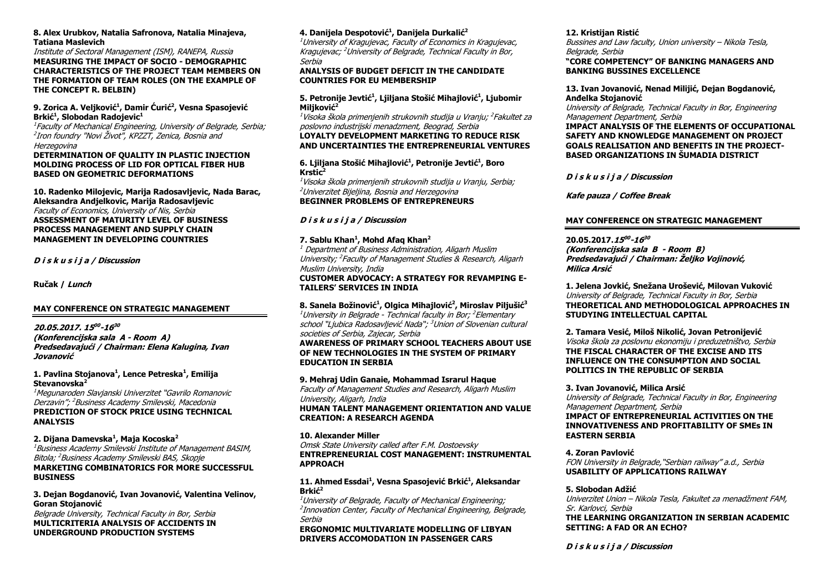#### **8. Alex Urubkov, Natalia Safronova, Natalia Minajeva, Tatiana Maslevich**

Institute of Sectoral Management (ISM), RANEPA, Russia **MEASURING THE IMPACT OF SOCIO - DEMOGRAPHIC CHARACTERISTICS OF THE PROJECT TEAM MEMBERS ON THE FORMATION OF TEAM ROLES (ON THE EXAMPLE OF THE CONCEPT R. BELBIN)**

#### **9. Zorica A. Veljković<sup>1</sup> , Damir Ćurić<sup>2</sup> , Vesna Spasojević Brkić<sup>1</sup> , Slobodan Radojevic<sup>1</sup>**

1 Faculty of Mechanical Engineering, University of Belgrade, Serbia; 2 Iron foundry "Novi Život", KPZZT, Zenica, Bosnia and Herzegovina

#### **DETERMINATION OF QUALITY IN PLASTIC INJECTION MOLDING PROCESS OF LID FOR OPTICAL FIBER HUB BASED ON GEOMETRIC DEFORMATIONS**

**10. Radenko Milojevic, Marija Radosavljevic, Nada Barac, Aleksandra Andjelkovic, Marija Radosavljevic** Faculty of Economics, University of Nis, Serbia **ASSESSMENT OF MATURITY LEVEL OF BUSINESS PROCESS MANAGEMENT AND SUPPLY CHAIN MANAGEMENT IN DEVELOPING COUNTRIES**

**D i s k u s i j a / Discussion**

**Ručak / Lunch**

#### **MAY CONFERENCE ON STRATEGIC MANAGEMENT**

## **20.05.2017. 15 00 -16 30**

**(Konferencijska sala A - Room A) Predsedavajući / Chairman: Elena Kalugina, Ivan Jovanović**

#### **1. Pavlina Stojanova<sup>1</sup> , Lence Petreska<sup>1</sup> , Emilija Stevanovska<sup>2</sup>**

<sup>1</sup>Megunaroden Slavjanski Univerzitet "Gavrilo Romanovic Derzavin"; <sup>2</sup>Business Academy Smilevski, Macedonia **PREDICTION OF STOCK PRICE USING TECHNICAL ANALYSIS**

#### **2. Dijana Damevska<sup>1</sup> , Maja Kocoska<sup>2</sup>**

<sup>1</sup>Business Academy Smilevski Institute of Management BASIM, Bitola; <sup>2</sup>Business Academy Smilevski BAS, Skopje **MARKETING COMBINATORICS FOR MORE SUCCESSFUL BUSINESS**

#### **3. Dejan Bogdanović, Ivan Jovanović, Valentina Velinov, Goran Stojanović**

Belgrade University, Technical Faculty in Bor, Serbia **MULTICRITERIA ANALYSIS OF ACCIDENTS IN UNDERGROUND PRODUCTION SYSTEMS**

#### **4. Danijela Despotović<sup>1</sup> , Danijela Durkalić<sup>2</sup>**

<sup>1</sup> University of Kragujevac, Faculty of Economics in Kragujevac, Kragujevac; <sup>2</sup>University of Belgrade, Technical Faculty in Bor, Serbia

#### **ANALYSIS OF BUDGET DEFICIT IN THE CANDIDATE COUNTRIES FOR EU MEMBERSHIP**

#### **5. Petronije Jevtić<sup>1</sup> , Ljiljana Stošić Mihajlović<sup>1</sup> , Ljubomir Miljković 2**

<sup>1</sup>Visoka škola primenjenih strukovnih studija u Vranju; <sup>2</sup>Fakultet za poslovno industrijski menadzment, Beograd, Serbia

#### **LOYALTY DEVELOPMENT MARKETING TO REDUCE RISK AND UNCERTAINTIES THE ENTREPRENEURIAL VENTURES**

#### **6. Ljiljana Stošić Mihajlović<sup>1</sup> , Petronije Jevtić<sup>1</sup> , Boro Krstic<sup>2</sup>**

 $1$ Visoka škola primenjenih strukovnih studija u Vranju, Serbia; <sup>2</sup>Univerzitet Bijeljina, Bosnia and Herzegovina **BEGINNER PROBLEMS OF ENTREPRENEURS**

#### **D i s k u s i j a / Discussion**

#### **7. Sablu Khan<sup>1</sup> , Mohd Afaq Khan<sup>2</sup>**

 $1$  Department of Business Administration, Aligarh Muslim University; <sup>2</sup> Faculty of Management Studies & Research, Aligarh Muslim University, India

#### **CUSTOMER ADVOCACY: A STRATEGY FOR REVAMPING E-TAILERS' SERVICES IN INDIA**

**8. Sanela Božinović<sup>1</sup> , Olgica Mihajlović<sup>2</sup> , Miroslav Piljušić<sup>3</sup>**  $^{1}$ University in Belgrade - Technical faculty in Bor;  $^{2}$ Elementary school "Ljubica Radosavljević Nada"; <sup>3</sup>Union of Slovenian cultural societies of Serbia, Zajecar, Serbia **AWARENESS OF PRIMARY SCHOOL TEACHERS ABOUT USE OF NEW TECHNOLOGIES IN THE SYSTEM OF PRIMARY EDUCATION IN SERBIA**

#### **9. Mehraj Udin Ganaie, Mohammad Israrul Haque**

Faculty of Management Studies and Research, Aligarh Muslim University, Aligarh, India **HUMAN TALENT MANAGEMENT ORIENTATION AND VALUE** 

**CREATION: A RESEARCH AGENDA**

#### **10. Alexander Miller**

Omsk State University called after F.M. Dostoevsky **ENTREPRENEURIAL COST MANAGEMENT: INSTRUMENTAL APPROACH**

#### **11. Ahmed Essdai<sup>1</sup> , Vesna Spasojević Brkić<sup>1</sup> , Aleksandar Brkić<sup>2</sup>**

<sup>1</sup>University of Belarade, Faculty of Mechanical Engineering: 2 Innovation Center, Faculty of Mechanical Engineering, Belgrade, Serbia

**ERGONOMIC MULTIVARIATE MODELLING OF LIBYAN DRIVERS ACCOMODATION IN PASSENGER CARS**

#### **12. Kristijan Ristić**

Bussines and Law faculty, Union university – Nikola Tesla, Belgrade, Serbia

**"CORE COMPETENCY" OF BANKING MANAGERS AND BANKING BUSSINES EXCELLENCE**

#### **13. Ivan Jovanović, Nenad Milijić, Dejan Bogdanović, Anđelka Stojanović**

University of Belgrade, Technical Faculty in Bor, Engineering Management Department, Serbia

#### **IMPACT ANALYSIS OF THE ELEMENTS OF OCCUPATIONAL SAFETY AND KNOWLEDGE MANAGEMENT ON PROJECT GOALS REALISATION AND BENEFITS IN THE PROJECT-BASED ORGANIZATIONS IN ŠUMADIA DISTRICT**

**D i s k u s i j a / Discussion**

**Kafe pauza / Coffee Break**

#### **MAY CONFERENCE ON STRATEGIC MANAGEMENT**

#### **20.05.2017.15 00 -16 30**

**(Konferencijska sala B - Room B) Predsedavajući / Chairman: Željko Vojinović, Milica Arsić**

**1. Jelena Jovkić, Snežana Urošević, Milovan Vuković** University of Belgrade, Technical Faculty in Bor, Serbia **THEORETICAL AND METHODOLOGICAL APPROACHES IN STUDYING INTELLECTUAL CAPITAL**

**2. Tamara Vesić, Miloš Nikolić, Jovan Petronijević** Visoka škola za poslovnu ekonomiju i preduzetništvo, Serbia **THE FISCAL CHARACTER OF THE EXCISE AND ITS INFLUENCE ON THE CONSUMPTION AND SOCIAL POLITICS IN THE REPUBLIC OF SERBIA**

#### **3. Ivan Jovanović, Milica Arsić**

University of Belgrade, Technical Faculty in Bor, Engineering Management Department, Serbia **IMPACT OF ENTREPRENEURIAL ACTIVITIES ON THE INNOVATIVENESS AND PROFITABILITY OF SMEs IN EASTERN SERBIA**

#### **4. Zoran Pavlović**

FON University in Belgrade,"Serbian railway" a.d., Serbia **USABILITY OF APPLICATIONS RAILWAY**

#### **5. Slobodan Adžić**

Univerzitet Union – Nikola Tesla, Fakultet za menadžment FAM, Sr. Karlovci, Serbia

**THE LEARNING ORGANIZATION IN SERBIAN ACADEMIC SETTING: A FAD OR AN ECHO?**

#### **D i s k u s i j a / Discussion**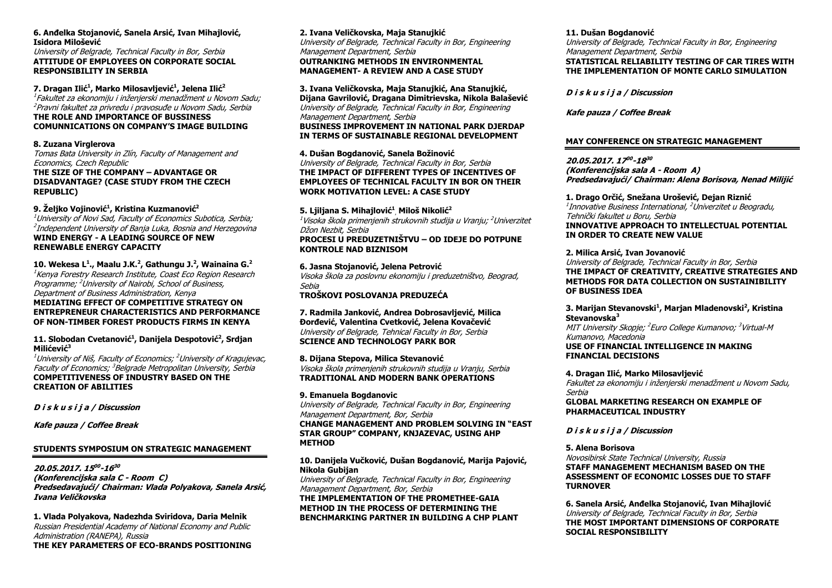#### **6. Anđelka Stojanović, Sanela Arsić, Ivan Mihajlović, Isidora Milošević**

University of Belgrade, Technical Faculty in Bor, Serbia **ATTITUDE OF EMPLOYEES ON CORPORATE SOCIAL RESPONSIBILITY IN SERBIA**

**7. Dragan Ilić<sup>1</sup> , Marko Milosavljević<sup>1</sup> , Jelena Ilić<sup>2</sup>** 1 Fakultet za ekonomiju i inženjerski menadžment u Novom Sadu; <sup>2</sup>Pravni fakultet za privredu i pravosuđe u Novom Sadu, Serbia **THE ROLE AND IMPORTANCE OF BUSSINESS COMUNNICATIONS ON COMPANY'S IMAGE BUILDING**

#### **8. Zuzana Virglerova**

Tomas Bata University in Zlín, Faculty of Management and Economics, Czech Republic **THE SIZE OF THE COMPANY – ADVANTAGE OR DISADVANTAGE? (CASE STUDY FROM THE CZECH REPUBLIC)**

#### **9. Željko Vojinović<sup>1</sup> , Kristina Kuzmanović<sup>2</sup>**

 $1$ University of Novi Sad, Faculty of Economics Subotica, Serbia; <sup>2</sup>Independent University of Banja Luka, Bosnia and Herzegovina **WIND ENERGY - A LEADING SOURCE OF NEW RENEWABLE ENERGY CAPACITY**

**10. Wekesa L<sup>1</sup> ., Maalu J.K.<sup>2</sup> , Gathungu J.<sup>2</sup> , Wainaina G.<sup>2</sup>** <sup>1</sup>Kenya Forestry Research Institute, Coast Eco Region Research Programme; <sup>2</sup>University of Nairobi, School of Business, Department of Business Administration, Kenya **MEDIATING EFFECT OF COMPETITIVE STRATEGY ON ENTREPRENEUR CHARACTERISTICS AND PERFORMANCE OF NON-TIMBER FOREST PRODUCTS FIRMS IN KENYA**

**11. Slobodan Cvetanović<sup>1</sup> , Danijela Despotović<sup>2</sup> , Srdjan Milićević<sup>3</sup>**

 $^{1}$ University of Niš, Faculty of Economics;  $^{2}$ University of Kragujevac, Faculty of Economics; <sup>3</sup>Belgrade Metropolitan University, Serbia **COMPETITIVENESS OF INDUSTRY BASED ON THE CREATION OF ABILITIES**

**D i s k u s i j a / Discussion**

**Kafe pauza / Coffee Break**

#### **STUDENTS SYMPOSIUM ON STRATEGIC MANAGEMENT**

**20.05.2017. 15 00 -16 30 (Konferencijska sala C - Room C) Predsedavajući/ Chairman: Vlada Polyakova, Sanela Arsić, Ivana Veličkovska**

**1. Vlada Polyakova, Nadezhda Sviridova, Daria Melnik** Russian Presidential Academy of National Economy and Public Administration (RANEPA), Russia **THE KEY PARAMETERS OF ECO-BRANDS POSITIONING**

#### **2. Ivana Veličkovska, Maja Stanujkić** University of Belgrade, Technical Faculty in Bor, Engineering Management Department, Serbia **OUTRANKING METHODS IN ENVIRONMENTAL MANAGEMENT- A REVIEW AND A CASE STUDY**

**3. Ivana Veličkovska, Maja Stanujkić, Ana Stanujkić, Dijana Gavrilović, Dragana Dimitrievska, Nikola Balašević** University of Belgrade, Technical Faculty in Bor, Engineering Management Department, Serbia **BUSINESS IMPROVEMENT IN NATIONAL PARK DJERDAP IN TERMS OF SUSTAINABLE REGIONAL DEVELOPMENT**

**4. Dušan Bogdanović, Sanela Božinović** University of Belgrade, Technical Faculty in Bor, Serbia **THE IMPACT OF DIFFERENT TYPES OF INCENTIVES OF EMPLOYEES OF TECHNICAL FACULTY IN BOR ON THEIR WORK MOTIVATION LEVEL: A CASE STUDY**

**5. Ljiljana S. Mihajlović<sup>1</sup>** , **Miloš Nikolić<sup>2</sup>** <sup>1</sup>Visoka škola primenjenih strukovnih studija u Vranju; <sup>2</sup>Univerzitet Džon Nezbit, Serbi<sup>a</sup> **PROCESI U PREDUZETNIŠTVU – OD IDEJE DO POTPUNE** 

**KONTROLE NAD BIZNISOM**

**6. Jasna Stojanović, Jelena Petrović** Visoka škola za poslovnu ekonomiju i preduzetništvo, Beograd, Sebia **TROŠKOVI POSLOVANJA PREDUZEĆA**

**7. Radmila Janković, Andrea Dobrosavljević, Milica Đorđević, Valentina Cvetković, Jelena Kovačević** University of Belgrade, Tehnical Faculty in Bor, Serbia **SCIENCE AND TECHNOLOGY PARK BOR**

**8. Dijana Stepova, Milica Stevanović** Visoka škola primenjenih strukovnih studija u Vranju, Serbia **TRADITIONAL AND MODERN BANK OPERATIONS**

#### **9. Emanuela Bogdanovic**

University of Belgrade, Technical Faculty in Bor, Engineering Management Department, Bor, Serbia

**CHANGE MANAGEMENT AND PROBLEM SOLVING IN "EAST STAR GROUP" COMPANY, KNJAZEVAC, USING AHP METHOD**

#### **10. Danijela Vučković, Dušan Bogdanović, Marija Pajović, Nikola Gubijan**

University of Belgrade, Technical Faculty in Bor, Engineering Management Department, Bor, Serbia **THE IMPLEMENTATION OF THE PROMETHEE-GAIA METHOD IN THE PROCESS OF DETERMINING THE BENCHMARKING PARTNER IN BUILDING A CHP PLANT**

#### **11. Dušan Bogdanović**

University of Belgrade, Technical Faculty in Bor, Engineering Management Department, Serbia **STATISTICAL RELIABILITY TESTING OF CAR TIRES WITH THE IMPLEMENTATION OF MONTE CARLO SIMULATION**

**D i s k u s i j a / Discussion**

**Kafe pauza / Coffee Break**

#### **MAY CONFERENCE ON STRATEGIC MANAGEMENT**

**20.05.2017. 17 00 -18 30 (Konferencijska sala A - Room A) Predsedavajući/ Chairman: Alena Borisova, Nenad Milijić**

**1. Drago Orčić, Snežana Urošević, Dejan Riznić** <sup>1</sup>Innovative Business International, <sup>2</sup>Univerzitet u Beogradu, Tehnički fakultet u Boru, Serbia **INNOVATIVE APPROACH TO INTELLECTUAL POTENTIAL IN ORDER TO CREATE NEW VALUE**

#### **2. Milica Arsić, Ivan Jovanović**

University of Belgrade, Technical Faculty in Bor, Serbia **THE IMPACT OF CREATIVITY, CREATIVE STRATEGIES AND METHODS FOR DATA COLLECTION ON SUSTAINIBILITY OF BUSINESS IDEA**

#### **3. Marijan Stevanovski<sup>1</sup> , Marjan Mladenovski<sup>2</sup> , Kristina Stevanovska<sup>3</sup>**

MIT University Skopje; <sup>2</sup>Euro College Kumanovo; <sup>3</sup>Virtual-M Kumanovo, Macedonia **USE OF FINANCIAL INTELLIGENCE IN MAKING** 

**FINANCIAL DECISIONS**

**4. Dragan Ilić, Marko Milosavljević** Fakultet za ekonomiju i inženjerski menadžment u Novom Sadu, Serbia **GLOBAL MARKETING RESEARCH ON EXAMPLE OF** 

**PHARMACEUTICAL INDUSTRY**

#### **D i s k u s i j a / Discussion**

#### **5. Alena Borisova**

Novosibirsk State Technical University, Russia **STAFF MANAGEMENT MECHANISM BASED ON THE ASSESSMENT OF ECONOMIC LOSSES DUE TO STAFF TURNOVER**

**6. Sanela Arsić, Anđelka Stojanović, Ivan Mihajlović** University of Belgrade, Technical Faculty in Bor, Serbia **THE MOST IMPORTANT DIMENSIONS OF CORPORATE SOCIAL RESPONSIBILITY**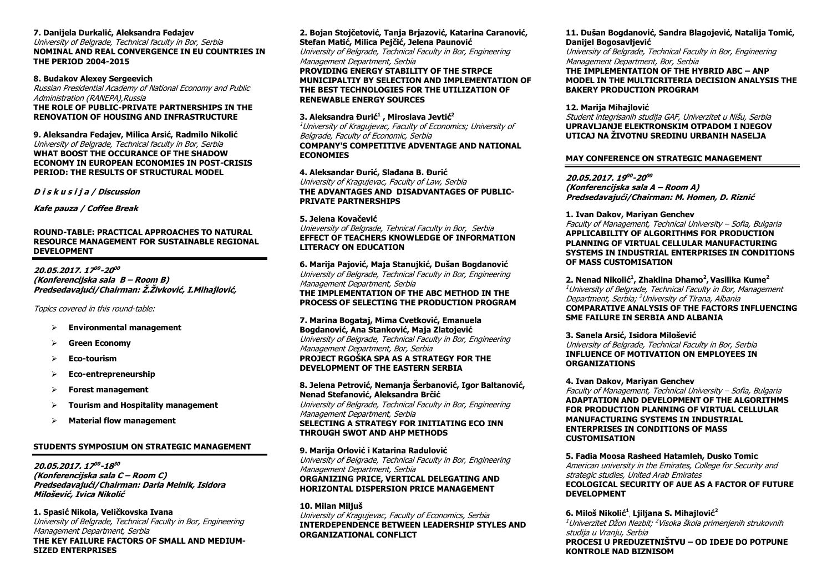#### **7. Danijela Durkalić, Aleksandra Fedajev**

University of Belgrade, Technical faculty in Bor, Serbia **NOMINAL AND REAL CONVERGENCE IN EU COUNTRIES IN THE PERIOD 2004-2015**

#### **8. Budakov Alexey Sergeevich**

Russian Presidential Academy of National Economy and Public Administration (RANEPA),Russia **THE ROLE OF PUBLIC-PRIVATE PARTNERSHIPS IN THE RENOVATION OF HOUSING AND INFRASTRUCTURE**

**9. Aleksandra Fedajev, Milica Arsić, Radmilo Nikolić** University of Belgrade, Technical faculty in Bor, Serbia **WHAT BOOST THE OCCURANCE OF THE SHADOW ECONOMY IN EUROPEAN ECONOMIES IN POST-CRISIS PERIOD: THE RESULTS OF STRUCTURAL MODEL**

**D i s k u s i j a / Discussion**

**Kafe pauza / Coffee Break**

#### **ROUND-TABLE: PRACTICAL APPROACHES TO NATURAL RESOURCE MANAGEMENT FOR SUSTAINABLE REGIONAL DEVELOPMENT**

**20.05.2017. 17 00 -20 00 (Konferencijska sala B – Room B) Predsedavajući/Chairman: Ž.Živković, I.Mihajlović,**

Topics covered in this round-table:

- **Environmental management**
- **Green Economy**
- **Eco-tourism**
- **Eco-entrepreneurship**
- **Forest management**
- **Tourism and Hospitality management**
- **Material flow management**

#### **STUDENTS SYMPOSIUM ON STRATEGIC MANAGEMENT**

**20.05.2017. 17 00 -18 30 (Konferencijska sala C – Room C) Predsedavajući/Chairman: Daria Melnik, Isidora Milošević, Ivica Nikolić**

**1. Spasić Nikola, Veličkovska Ivana** University of Belgrade, Technical Faculty in Bor, Engineering Management Department, Serbia **THE KEY FAILURE FACTORS OF SMALL AND MEDIUM-SIZED ENTERPRISES**

**2. Bojan Stojčetović, Tanja Brjazović, Katarina Caranović, Stefan Matić, Milica Pejčić, Jelena Paunović** University of Belgrade, Technical Faculty in Bor, Engineering Management Department, Serbia **PROVIDING ENERGY STABILITY OF THE STRPCE MUNICIPALTIY BY SELECTION AND IMPLEMENTATION OF THE BEST TECHNOLOGIES FOR THE UTILIZATION OF RENEWABLE ENERGY SOURCES**

**3. Aleksandra Đurić<sup>1</sup> , Miroslava Jevtić<sup>2</sup>** <sup>1</sup>University of Kragujevac, Faculty of Economics; University of Belgrade, Faculty of Economic, Serbia **COMPANY'S COMPETITIVE ADVENTAGE AND NATIONAL ECONOMIES**

**4. Aleksandar Đurić, Slađana B. Đurić** University of Kragujevac, Faculty of Law, Serbia **THE ADVANTAGES AND DISADVANTAGES OF PUBLIC-PRIVATE PARTNERSHIPS**

#### **5. Jelena Kovačević** Unieversity of Belgrade, Tehnical Faculty in Bor, Serbia **EFFECT OF TEACHERS KNOWLEDGE OF INFORMATION LITERACY ON EDUCATION**

**6. Marija Pajović, Maja Stanujkić, Dušan Bogdanović** University of Belgrade, Technical Faculty in Bor, Engineering Management Department, Serbia **THE IMPLEMENTATION OF THE ABC METHOD IN THE PROCESS OF SELECTING THE PRODUCTION PROGRAM**

**7. Marina Bogataj, Mima Cvetković, Emanuela Bogdanović, Ana Stanković, Maja Zlatojević** University of Belgrade, Technical Faculty in Bor, Engineering Management Department, Bor, Serbia **PROJECT RGOŠKA SPA AS A STRATEGY FOR THE DEVELOPMENT OF THE EASTERN SERBIA**

**8. Jelena Petrović, Nemanja Šerbanović, Igor Baltanović, Nenad Stefanović, Aleksandra Brčić** University of Belgrade, Technical Faculty in Bor, Engineering Management Department, Serbia **SELECTING A STRATEGY FOR INITIATING ECO INN THROUGH SWOT AND AHP METHODS**

**9. Marija Orlović i Katarina Radulović** University of Belgrade, Technical Faculty in Bor, Engineering Management Department, Serbia **ORGANIZING PRICE, VERTICAL DELEGATING AND HORIZONTAL DISPERSION PRICE MANAGEMENT**

**10. Milan Miljuš** University of Kragujevac, Faculty of Economics, Serbia **INTERDEPENDENCE BETWEEN LEADERSHIP STYLES AND ORGANIZATIONAL CONFLICT**

#### **11. Dušan Bogdanović, Sandra Blagojević, Natalija Tomić, Danijel Bogosavljević**

University of Belgrade, Technical Faculty in Bor, Engineering Management Department, Bor, Serbia **THE IMPLEMENTATION OF THE HYBRID ABC – ANP MODEL IN THE MULTICRITERIA DECISION ANALYSIS THE BAKERY PRODUCTION PROGRAM**

**12. Marija Mihajlović** Student integrisanih studija GAF, Univerzitet u Nišu, Serbia **UPRAVLJANJE ELEKTRONSKIM OTPADOM I NJEGOV UTICAJ NA ŽIVOTNU SREDINU URBANIH NASELJA**

#### **MAY CONFERENCE ON STRATEGIC MANAGEMENT**

**20.05.2017. 19 00 -20 00 (Konferencijska sala A – Room A) Predsedavajući/Chairman: M. Homen, D. Riznić**

**1. Ivan Dakov, Mariyan Genchev** Faculty of Management, Technical University – Sofia, Bulgaria **APPLICABILITY OF ALGORITHMS FOR PRODUCTION PLANNING OF VIRTUAL CELLULAR MANUFACTURING SYSTEMS IN INDUSTRIAL ENTERPRISES IN CONDITIONS OF MASS CUSTOMISATION**

**2. Nenad Nikolić<sup>1</sup> , Zhaklina Dhamo<sup>2</sup> , Vasilika Kume<sup>2</sup>** <sup>1</sup>University of Belgrade, Technical Faculty in Bor, Management Department, Serbia; <sup>2</sup>University of Tirana, Albania **COMPARATIVE ANALYSIS OF THE FACTORS INFLUENCING SME FAILURE IN SERRIA AND ALBANIA** 

**3. Sanela Arsić, Isidora Milošević** University of Belgrade, Technical Faculty in Bor, Serbia **INFLUENCE OF MOTIVATION ON EMPLOYEES IN ORGANIZATIONS**

#### **4. Ivan Dakov, Mariyan Genchev**

Faculty of Management, Technical University – Sofia, Bulgaria **ADAPTATION AND DEVELOPMENT OF THE ALGORITHMS FOR PRODUCTION PLANNING OF VIRTUAL CELLULAR MANUFACTURING SYSTEMS IN INDUSTRIAL ENTERPRISES IN CONDITIONS OF MASS CUSTOMISATION**

**5. Fadia Moosa Rasheed Hatamleh, Dusko Tomic** American university in the Emirates, College for Security and strategic studies, United Arab Emirates **ECOLOGICAL SECURITY OF AUE AS A FACTOR OF FUTURE DEVELOPMENT**

**6. Miloš Nikolić<sup>1</sup>** , **Ljiljana S. Mihajlović<sup>2</sup>** <sup>1</sup>Univerzitet Džon Nezbit; <sup>2</sup>Visoka škola primenjenih strukovnih studija u Vranju, Serbia **PROCESI U PREDUZETNIŠTVU – OD IDEJE DO POTPUNE KONTROLE NAD BIZNISOM**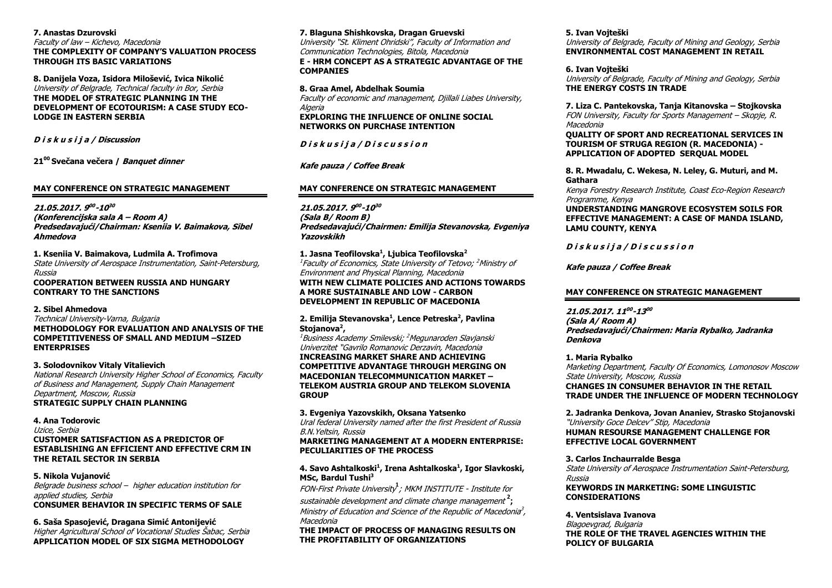#### **7. Anastas Dzurovski**

Faculty of law – Kichevo, Macedonia **THE COMPLEXITY OF COMPANY'S VALUATION PROCESS THROUGH ITS BASIC VARIATIONS**

**8. Danijela Voza, Isidora Milošević, Ivica Nikolić** University of Belgrade, Technical faculty in Bor, Serbia **THE MODEL OF STRATEGIC PLANNING IN THE DEVELOPMENT OF ECOTOURISM: A CASE STUDY ECO-LODGE IN EASTERN SERBIA**

**D i s k u s i j a / Discussion**

**21<sup>00</sup>Svečana večera / Banquet dinner**

#### **MAY CONFERENCE ON STRATEGIC MANAGEMENT**

**21.05.2017. 9 00 -10 30 (Konferencijska sala A – Room A) Predsedavajući/Chairman: Kseniia V. Baimakova, Sibel Ahmedova**

**1. Kseniia V. Baimakova, Ludmila A. Trofimova** State University of Aerospace Instrumentation, Saint-Petersburg, Russia **COOPERATION BETWEEN RUSSIA AND HUNGARY CONTRARY TO THE SANCTIONS**

#### **2. Sibel Ahmedova**

Technical University-Varna, Bulgaria **METHODOLOGY FOR EVALUATION AND ANALYSIS OF THE COMPETITIVENESS OF SMALL AND MEDIUM –SIZED ENTERPRISES**

#### **3. Solodovnikov Vitaly Vitalievich**

National Research University Higher School of Economics, Faculty of Business and Management, Supply Chain Management Department, Moscow, Russia **STRATEGIC SUPPLY CHAIN PLANNING**

#### **4. Ana Todorovic**

Uzice, Serbia **CUSTOMER SATISFACTION AS A PREDICTOR OF ESTABLISHING AN EFFICIENT AND EFFECTIVE CRM IN THE RETAIL SECTOR IN SERBIA**

#### **5. Nikola Vujanović**

Belgrade business school – higher education institution for applied studies, Serbia **CONSUMER BEHAVIOR IN SPECIFIC TERMS OF SALE**

#### **6. Saša Spasojević, Dragana Simić Antonijević**

Higher Agricultural School of Vocational Studies Šabac, Serbia **APPLICATION MODEL OF SIX SIGMA METHODOLOGY**

#### **7. Blaguna Shishkovska, Dragan Gruevski**

University "St. Kliment Ohridski", Faculty of Information and Communication Technologies, Bitola, Macedonia **E - HRM CONCEPT AS A STRATEGIC ADVANTAGE OF THE COMPANIES**

**8. Graa Amel, Abdelhak Soumia** Faculty of economic and management, Djillali Liabes University, Algeria

**EXPLORING THE INFLUENCE OF ONLINE SOCIAL NETWORKS ON PURCHASE INTENTION**

**D i s k u s i j a / D i s c u s s i o n**

#### **Kafe pauza / Coffee Break**

#### **MAY CONFERENCE ON STRATEGIC MANAGEMENT**

**21.05.2017. 9 00 -10 30 (Sala B/ Room B) Predsedavajući/Chairmen: Emilija Stevanovska, Evgeniya Yazovskikh**

#### **1. Jasna Teofilovska<sup>1</sup> , Ljubica Teofilovska<sup>2</sup>**

<sup>1</sup>Faculty of Economics, State University of Tetovo; <sup>2</sup>Ministry of Environment and Physical Planning, Macedonia

#### **WITH NEW CLIMATE POLICIES AND ACTIONS TOWARDS A MORE SUSTAINABLE AND LOW - CARBON DEVELOPMENT IN REPUBLIC OF MACEDONIA**

#### **2. Emilija Stevanovska<sup>1</sup> , Lence Petreska<sup>2</sup> , Pavlina Stojanova<sup>2</sup> ,**

<sup>1</sup>Business Academy Smilevski; <sup>2</sup>Megunaroden Slavjanski Univerzitet "Gavrilo Romanovic Derzavin, Macedonia **INCREASING MARKET SHARE AND ACHIEVING COMPETITIVE ADVANTAGE THROUGH MERGING ON MACEDONIAN TELECOMMUNICATION MARKET – TELEKOM AUSTRIA GROUP AND TELEKOM SLOVENIA GROUP**

#### **3. Evgeniya Yazovskikh, Oksana Yatsenko**

Ural federal University named after the first President of Russia B.N.Yeltsin, Russia

#### **MARKETING MANAGEMENT AT A MODERN ENTERPRISE: PECULIARITIES OF THE PROCESS**

#### **4. Savo Ashtalkoski<sup>1</sup> , Irena Ashtalkoska<sup>1</sup> , Igor Slavkoski, MSc, Bardul Tushi<sup>3</sup>**

FON-First Private University **1** ; MKM INSTITUTE - Institute for

sustainable development and climate change management **2 ;** Ministry of Education and Science of the Republic of Macedonia<sup>3</sup>, Macedonia

**THE IMPACT OF PROCESS OF MANAGING RESULTS ON THE PROFITABILITY OF ORGANIZATIONS**

#### **5. Ivan Vojteški**

University of Belgrade, Faculty of Mining and Geology, Serbia **ENVIRONMENTAL COST MANAGEMENT IN RETAIL**

#### **6. Ivan Vojteški**

University of Belgrade, Faculty of Mining and Geology, Serbia **THE ENERGY COSTS IN TRADE**

#### **7. Liza C. Pantekovska, Tanja Kitanovska – Stojkovska**

FON University, Faculty for Sports Management – Skopje, R. **Macedonia** 

**QUALITY OF SPORT AND RECREATIONAL SERVICES IN TOURISM OF STRUGA REGION (R. MACEDONIA) - APPLICATION OF ADOPTED SERQUAL MODEL**

#### **8. R. Mwadalu, C. Wekesa, N. Leley, G. Muturi, and M. Gathara**

Kenya Forestry Research Institute, Coast Eco-Region Research Programme, Kenya

#### **UNDERSTANDING MANGROVE ECOSYSTEM SOILS FOR EFFECTIVE MANAGEMENT: A CASE OF MANDA ISLAND, LAMU COUNTY, KENYA**

**D i s k u s i j a / D i s c u s s i o n**

**Kafe pauza / Coffee Break**

#### **MAY CONFERENCE ON STRATEGIC MANAGEMENT**

#### **21.05.2017. 11 00 -13 00**

**(Sala A/ Room A) Predsedavajući/Chairmen: Maria Rybalko, Jadranka Denkova**

#### **1. Maria Rybalko**

Marketing Department, Faculty Of Economics, Lomonosov Moscow State University, Moscow, Russia **CHANGES IN CONSUMER BEHAVIOR IN THE RETAIL TRADE UNDER THE INFLUENCE OF MODERN TECHNOLOGY**

### **2. Jadranka Denkova, Jovan Ananiev, Strasko Stojanovski**

"University Goce Delcev" Stip, Macedonia **HUMAN RESOURSE MANAGEMENT CHALLENGE FOR EFFECTIVE LOCAL GOVERNMENT**

#### **3. Carlos Inchaurralde Besga**

State University of Aerospace Instrumentation Saint-Petersburg, Russia **KEYWORDS IN MARKETING: SOME LINGUISTIC** 

## **CONSIDERATIONS**

#### **4. Ventsislava Ivanova**

Blagoevgrad, Bulgaria **THE ROLE OF THE TRAVEL AGENCIES WITHIN THE POLICY OF BULGARIA**